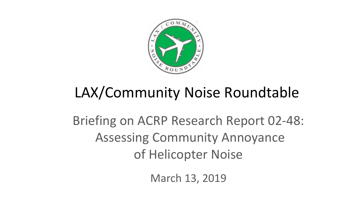

# LAX/Community Noise Roundtable

Briefing on ACRP Research Report 02-48: Assessing Community Annoyance of Helicopter Noise

March 13, 2019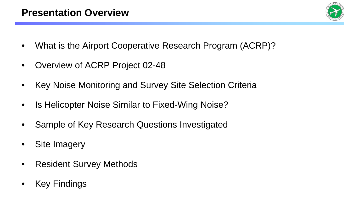

- What is the Airport Cooperative Research Program (ACRP)?
- Overview of ACRP Project 02-48
- Key Noise Monitoring and Survey Site Selection Criteria
- Is Helicopter Noise Similar to Fixed-Wing Noise?
- Sample of Key Research Questions Investigated
- Site Imagery
- Resident Survey Methods
- **Key Findings**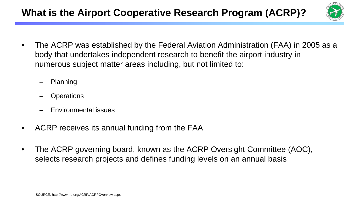

- The ACRP was established by the Federal Aviation Administration (FAA) in 2005 as a body that undertakes independent research to benefit the airport industry in numerous subject matter areas including, but not limited to:
	- Planning
	- **Operations**
	- Environmental issues
- ACRP receives its annual funding from the FAA
- The ACRP governing board, known as the ACRP Oversight Committee (AOC), selects research projects and defines funding levels on an annual basis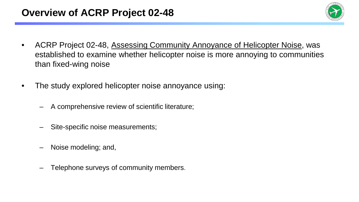

- ACRP Project 02-48, Assessing Community Annoyance of Helicopter Noise, was established to examine whether helicopter noise is more annoying to communities than fixed-wing noise
- The study explored helicopter noise annoyance using:
	- A comprehensive review of scientific literature;
	- Site-specific noise measurements;
	- Noise modeling; and,
	- Telephone surveys of community members.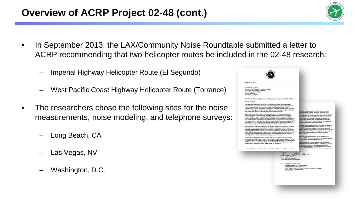### **Overview of ACRP Project 02-48 (cont.)**



- In September 2013, the LAX/Community Noise Roundtable submitted a letter to ACRP recommending that two helicopter routes be included in the 02-48 research:
	- Imperial Highway Helicopter Route (El Segundo)
	- West Pacific Coast Highway Helicopter Route (Torrance)
- The researchers chose the following sites for the noise measurements, noise modeling, and telephone surveys:
	- Long Beach, CA
	- Las Vegas, NV
	- Washington, D.C.

| <u>enns</u>                                                                                                                                                                                    |                                                                        |                                                                                                                                   |
|------------------------------------------------------------------------------------------------------------------------------------------------------------------------------------------------|------------------------------------------------------------------------|-----------------------------------------------------------------------------------------------------------------------------------|
| September 17, 2013                                                                                                                                                                             |                                                                        |                                                                                                                                   |
|                                                                                                                                                                                                |                                                                        |                                                                                                                                   |
|                                                                                                                                                                                                |                                                                        |                                                                                                                                   |
| <b>Mr. Michael R. Salamone</b>                                                                                                                                                                 |                                                                        |                                                                                                                                   |
| Manager, Airport Cooperative Research Program<br>Kenk Center of the National Anademies                                                                                                         |                                                                        |                                                                                                                                   |
| Transportation Research Enand                                                                                                                                                                  |                                                                        |                                                                                                                                   |
| 500 Fifth Street, NW<br>Villashington, D.C. 20001                                                                                                                                              |                                                                        |                                                                                                                                   |
|                                                                                                                                                                                                |                                                                        |                                                                                                                                   |
| RE: ACRP 02-48: Assessing Annoyance of Helioppter Notes Compared with Jet Aircraft Notes                                                                                                       |                                                                        |                                                                                                                                   |
| Dear Mr. Salamone:                                                                                                                                                                             |                                                                        |                                                                                                                                   |
| The Los Angeles International Airport/Community Noise Roundtable (Roundtable) is an                                                                                                            |                                                                        |                                                                                                                                   |
| organization that consists of local elected chicials and staff, representatives of congressional                                                                                               |                                                                        |                                                                                                                                   |
| offices, members of recognized community groups, the airfines, the Federal Autation<br>Administration (FAA), and Los Angeles Viceld Asports. These parties work together to identify           |                                                                        |                                                                                                                                   |
| noise issues affecting communities surrounding Los Angeles International Airport (LAX) and to                                                                                                  |                                                                        | boated immediately south of LAX and follows the West                                                                              |
| seek feasible solutions to reduce noise over those affected communities.                                                                                                                       |                                                                        | the to the Harbor Freeway, with many residential areas.                                                                           |
| Roundtable members are optimistic that the research work from the Airport Cooperative                                                                                                          |                                                                        | twey. It is a common route used by helicopters transitioning                                                                      |
| Research Program (ACRF) will provide information that is aupportive of the Roundtable's<br>mission in achieving aircraft notes reduction at LAX. As each, we have been reviewing and           |                                                                        | by those operating at nearby airports. More monthly, some<br>and hover over nearby residential areas to conduct plane             |
| providing recommendations on ACRP projects for the past several years. More recently, as you                                                                                                   |                                                                        | allow passengers to observe and take photographs of                                                                               |
| know, the Roundtable sent a letter to the ACRP to express our support and assessment for 14                                                                                                    |                                                                        | from a better varriage point. Plane spotting fights tond to                                                                       |
| noise-related problem statements for research consideration. It is our understanding that ACRP<br>has selected 10 of the 14 recommended problem statements, one of which includes ACRP 03-     |                                                                        | my low atkades and hover over residential communities for<br>italise disturbances to these communities.                           |
| 48. Assessing Annoyance of Heficopter Noise Compared with Jo! Aircraft Moise.                                                                                                                  |                                                                        |                                                                                                                                   |
| The Roundtable is particularly interested in this research as helicopter noise adversely affects.                                                                                              |                                                                        | Melicopter Roofe was established in the 1990s and is one of<br>By used by heliocoter pilots coerating at Zamperini Field          |
| many people in Los Angeles Courty due to the high level of heliospiter activity in the Los                                                                                                     |                                                                        | DE CA. The route ancompasses a high level of heliecoter                                                                           |
| Angeles airspace engaged in various flight operations. The research in AD19 02-45 involves<br>determining if human responses to helicopter noise are significantly different from those of jet |                                                                        | to for the surrounding residential communities. At the request<br>bolding at the possibility of modifying the helicocter route to |
| aircraft naise, since the operating characteristics of jets and helicopters are very different. The                                                                                            |                                                                        | ment other voluntary measures to reduce noise from                                                                                |
| study would also provide a better understanding of helicopter noise annoyance, and could<br>potentially assist the FAA to better assess helioppinr noise problems.                             |                                                                        | ale this problem.                                                                                                                 |
|                                                                                                                                                                                                |                                                                        | ation, the Roundlable members believe that these two                                                                              |
| The proposed research will consist of selecting up to three helicopter reutes or contident to<br>conduct surveys of residents, and to take noise measurements of helicopter operations along   |                                                                        | the the ACRP research on assessing annoyance of helicopter                                                                        |
| the routes as part of the research plan. We would like to take this opportunity to suggest that the                                                                                            |                                                                        | thissen include the said routes in the study.                                                                                     |
| ACRP select the Imperial Helixedar Route and the West Pacific Coast Hichway Helixeoter                                                                                                         |                                                                        | spress our interest in ACRP research. The Roundlable                                                                              |
| Route located in Los Angeles County as study areas for the research.                                                                                                                           |                                                                        | his letter to the panel members of the ACRP Persect 02-46 for<br>pertect us for further information, please address your          |
|                                                                                                                                                                                                |                                                                        | runity Noise Roundtable, c/o Los Angeles World Airports, 1                                                                        |
| 1 World Way - Los Angeles - CA - 92216 - 13801 645-7848                                                                                                                                        |                                                                        | Angeles, CA 90009-2216, Attintion: Kathryn Pantisa, or call                                                                       |
|                                                                                                                                                                                                |                                                                        |                                                                                                                                   |
| Sincere's                                                                                                                                                                                      |                                                                        |                                                                                                                                   |
|                                                                                                                                                                                                |                                                                        | Charles                                                                                                                           |
|                                                                                                                                                                                                |                                                                        |                                                                                                                                   |
|                                                                                                                                                                                                | Denny Schliester, Chairman                                             |                                                                                                                                   |
|                                                                                                                                                                                                | LAXICommunity Noise Roundtable                                         |                                                                                                                                   |
|                                                                                                                                                                                                |                                                                        |                                                                                                                                   |
| œ                                                                                                                                                                                              | Joseph D. Navarrete, ACRP<br>Eric Garcetti, Mayor, City of Los Angeles |                                                                                                                                   |
|                                                                                                                                                                                                | Frank Scotto, Mayor, City of Torrance                                  |                                                                                                                                   |
|                                                                                                                                                                                                | City of Torrance Council Members                                       | Shart Megerdichian, City of Tomance Facilities Coerations Manager                                                                 |
|                                                                                                                                                                                                | Roundtable Members                                                     |                                                                                                                                   |
|                                                                                                                                                                                                |                                                                        |                                                                                                                                   |
|                                                                                                                                                                                                |                                                                        |                                                                                                                                   |
|                                                                                                                                                                                                |                                                                        |                                                                                                                                   |
|                                                                                                                                                                                                |                                                                        |                                                                                                                                   |
|                                                                                                                                                                                                |                                                                        |                                                                                                                                   |
|                                                                                                                                                                                                |                                                                        |                                                                                                                                   |
|                                                                                                                                                                                                |                                                                        |                                                                                                                                   |

⊮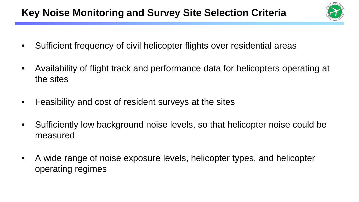# **Key Noise Monitoring and Survey Site Selection Criteria**



- Sufficient frequency of civil helicopter flights over residential areas
- Availability of flight track and performance data for helicopters operating at the sites
- Feasibility and cost of resident surveys at the sites
- Sufficiently low background noise levels, so that helicopter noise could be measured
- A wide range of noise exposure levels, helicopter types, and helicopter operating regimes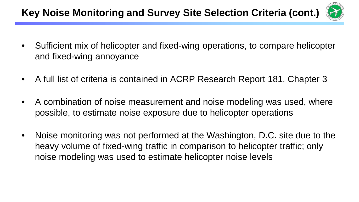# **Key Noise Monitoring and Survey Site Selection Criteria (cont.)**



- Sufficient mix of helicopter and fixed-wing operations, to compare helicopter and fixed-wing annoyance
- A full list of criteria is contained in ACRP Research Report 181, Chapter 3
- A combination of noise measurement and noise modeling was used, where possible, to estimate noise exposure due to helicopter operations
- Noise monitoring was not performed at the Washington, D.C. site due to the heavy volume of fixed-wing traffic in comparison to helicopter traffic; only noise modeling was used to estimate helicopter noise levels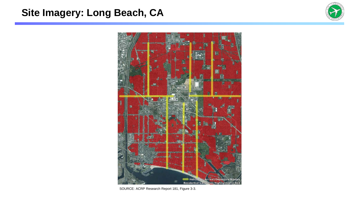### **Site Imagery: Long Beach, CA**





SOURCE: ACRP Research Report 181, Figure 3-3.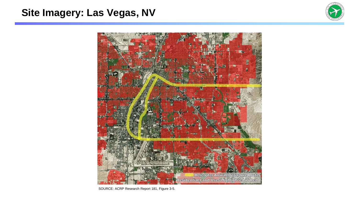### **Site Imagery: Las Vegas, NV**





SOURCE: ACRP Research Report 181, Figure 3-5.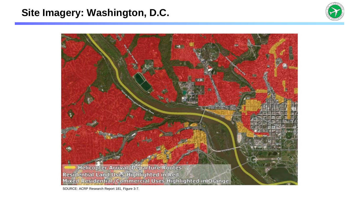#### **Site Imagery: Washington, D.C.**





SOURCE: ACRP Research Report 181, Figure 3-7.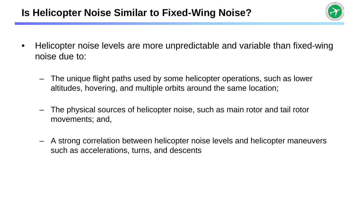# **Is Helicopter Noise Similar to Fixed-Wing Noise?**



- Helicopter noise levels are more unpredictable and variable than fixed-wing noise due to:
	- The unique flight paths used by some helicopter operations, such as lower altitudes, hovering, and multiple orbits around the same location;
	- The physical sources of helicopter noise, such as main rotor and tail rotor movements; and,
	- A strong correlation between helicopter noise levels and helicopter maneuvers such as accelerations, turns, and descents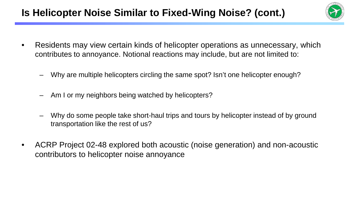# **Is Helicopter Noise Similar to Fixed-Wing Noise? (cont.)**



- Residents may view certain kinds of helicopter operations as unnecessary, which contributes to annoyance. Notional reactions may include, but are not limited to:
	- Why are multiple helicopters circling the same spot? Isn't one helicopter enough?
	- Am I or my neighbors being watched by helicopters?
	- Why do some people take short-haul trips and tours by helicopter instead of by ground transportation like the rest of us?
- ACRP Project 02-48 explored both acoustic (noise generation) and non-acoustic contributors to helicopter noise annoyance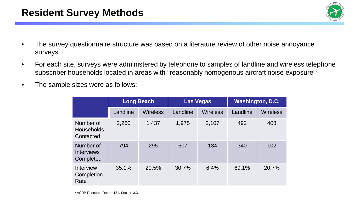

- The survey questionnaire structure was based on a literature review of other noise annoyance surveys
- For each site, surveys were administered by telephone to samples of landline and wireless telephone subscriber households located in areas with "reasonably homogenous aircraft noise exposure"\*
- The sample sizes were as follows:

|                                             | <b>Long Beach</b> |          | <b>Las Vegas</b> |                 | <b>Washington, D.C.</b> |          |
|---------------------------------------------|-------------------|----------|------------------|-----------------|-------------------------|----------|
|                                             | Landline          | Wireless | Landline         | <b>Wireless</b> | Landline                | Wireless |
| Number of<br>Households<br>Contacted        | 2,260             | 1,437    | 1,975            | 2,107           | 492                     | 408      |
| Number of<br><b>Interviews</b><br>Completed | 794               | 295      | 607              | 134             | 340                     | 102      |
| Interview<br>Completion<br>Rate             | 35.1%             | 20.5%    | 30.7%            | 6.4%            | 69.1%                   | 20.7%    |

\* ACRP Research Report 181, Section 3.3.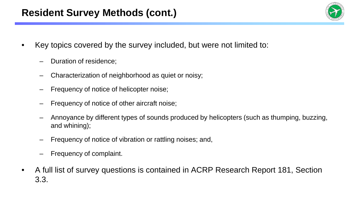### **Resident Survey Methods (cont.)**

- Key topics covered by the survey included, but were not limited to:
	- Duration of residence;
	- Characterization of neighborhood as quiet or noisy;
	- Frequency of notice of helicopter noise;
	- Frequency of notice of other aircraft noise;
	- Annoyance by different types of sounds produced by helicopters (such as thumping, buzzing, and whining);
	- Frequency of notice of vibration or rattling noises; and,
	- Frequency of complaint.
- A full list of survey questions is contained in ACRP Research Report 181, Section 3.3.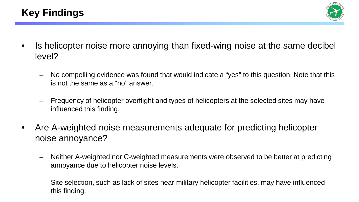

- Is helicopter noise more annoying than fixed-wing noise at the same decibel level?
	- No compelling evidence was found that would indicate a "yes" to this question. Note that this is not the same as a "no" answer.
	- Frequency of helicopter overflight and types of helicopters at the selected sites may have influenced this finding.
- Are A-weighted noise measurements adequate for predicting helicopter noise annoyance?
	- Neither A-weighted nor C-weighted measurements were observed to be better at predicting annoyance due to helicopter noise levels.
	- Site selection, such as lack of sites near military helicopter facilities, may have influenced this finding.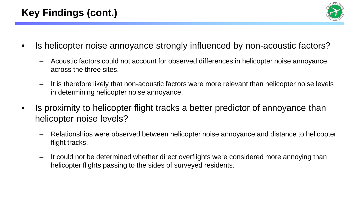

- Is helicopter noise annoyance strongly influenced by non-acoustic factors?
	- Acoustic factors could not account for observed differences in helicopter noise annoyance across the three sites.
	- It is therefore likely that non-acoustic factors were more relevant than helicopter noise levels in determining helicopter noise annoyance.
- Is proximity to helicopter flight tracks a better predictor of annoyance than helicopter noise levels?
	- Relationships were observed between helicopter noise annoyance and distance to helicopter flight tracks.
	- It could not be determined whether direct overflights were considered more annoying than helicopter flights passing to the sides of surveyed residents.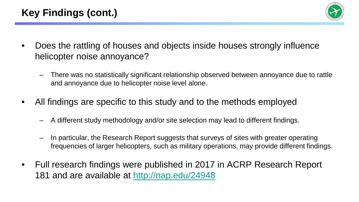

- Does the rattling of houses and objects inside houses strongly influence helicopter noise annoyance?
	- There was no statistically significant relationship observed between annoyance due to rattle and annoyance due to helicopter noise level alone.
- All findings are specific to this study and to the methods employed
	- A different study methodology and/or site selection may lead to different findings.
	- In particular, the Research Report suggests that surveys of sites with greater operating frequencies of larger helicopters, such as military operations, may provide different findings.
- Full research findings were published in 2017 in ACRP Research Report 181 and are available at<http://nap.edu/24948>